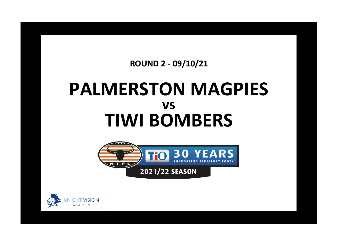## **ROUND 2 - 09/10/21**

## **PALMERSTON MAGPIES TIWI BOMBERS vs**



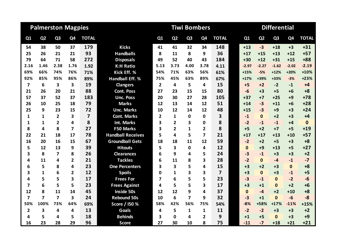|                | <b>Palmerston Magpies</b> |                         |                |                |                          |                |                | <b>Tiwi Bombers</b> |                |                | <b>Differential</b> |              |                |                |                |              |  |
|----------------|---------------------------|-------------------------|----------------|----------------|--------------------------|----------------|----------------|---------------------|----------------|----------------|---------------------|--------------|----------------|----------------|----------------|--------------|--|
| Q1             | Q <sub>2</sub>            | Q <sub>3</sub>          | Q <sub>4</sub> | <b>TOTAL</b>   |                          | Q1             | Q <sub>2</sub> | Q <sub>3</sub>      | Q <sub>4</sub> | <b>TOTAL</b>   |                     | Q1           | Q <sub>2</sub> | Q <sub>3</sub> | Q <sub>4</sub> | <b>TOTAL</b> |  |
| 54             | 38                        | 50                      | 37             | 179            | <b>Kicks</b>             | 41             | 41             | 32                  | 34             | 148            |                     | $+13$        | $-3$           | $+18$          | $+3$           | $+31$        |  |
| 25             | 26                        | 21                      | 21             | 93             | <b>Handballs</b>         | 8              | 11             | 8                   | 9              | 36             |                     | $+17$        | $+15$          | $+13$          | $+12$          | $+57$        |  |
| 79             | 64                        | 71                      | 58             | 272            | <b>Disposals</b>         | 49             | 52             | 40                  | 43             | 184            |                     | $+30$        | $+12$          | $+31$          | $+15$          | $+88$        |  |
| 2.16           | 1.46                      | 2.38                    | 1.76           | 1.92           | <b>K:H Ratio</b>         | 5.13           | 3.73           | 4.00                | 3.78           | 4.11           |                     | $-2.97$      | $-2.27$        | $-1.62$        | $-2.02$        | $-2.19$      |  |
| 69%            | 66%                       | 74%                     | 76%            | 71%            | Kick Eff. %              | 54%            | 71%            | 63%                 | 56%            | 61%            |                     | $+15%$       | $-5%$          | $+12%$         | $+20%$         | $+10%$       |  |
| 92%            | 85%                       | 95%                     | 86%            | 89%            | <b>Handball Eff. %</b>   | 75%            | 45%            | 63%                 | 89%            | 67%            |                     | $+17%$       | +39%           | $+33%$         | $-3%$          | $+23%$       |  |
| $\overline{7}$ | 6                         | $\overline{\mathbf{3}}$ | 3              | 19             | <b>Clangers</b>          | $\overline{2}$ | 4              | 5                   | 4              | 15             |                     | $+5$         | $+2$           | $-2$           | $-1$           | $+4$         |  |
| 21             | 26                        | 20                      | 21             | 88             | <b>Cont. Poss</b>        | 27             | 23             | 15                  | 15             | 80             |                     | $-6$         | $+3$           | $+5$           | $+6$           | $+8$         |  |
| 57             | 37                        | 52                      | 37             | 183            | <b>Unc. Poss</b>         | 20             | 30             | 27                  | 28             | 105            |                     | $+37$        | $+7$           | $+25$          | $+9$           | $+78$        |  |
| 26             | 10                        | 25                      | 18             | 79             | <b>Marks</b>             | 12             | 13             | 14                  | 12             | 51             |                     | $+14$        | $-3$           | $+11$          | $+6$           | $+28$        |  |
| 25             | 9                         | 23                      | 15             | 72             | <b>Unc. Marks</b>        | 10             | 12             | 14                  | 12             | 48             |                     | $+15$        | $-3$           | $+9$           | $+3$           | $+24$        |  |
| 1              | $\mathbf{1}$              | $\overline{2}$          | 3              | $\overline{7}$ | <b>Cont. Marks</b>       | $\overline{2}$ | 1              | 0                   | 0              | 3              |                     | $-1$         | $\Omega$       | $+2$           | $+3$           | $+4$         |  |
| 1              | $\mathbf{1}$              | $\overline{2}$          | 4              | 8              | <b>Int. Marks</b>        | 3              | $\overline{2}$ | 3                   | 0              | 8              |                     | $-2$         | $-1$           | $-1$           | $+4$           | $\mathbf{0}$ |  |
| 8              | 4                         | 8                       | $\overline{7}$ | 27             | <b>F50 Marks</b>         | 3              | $\overline{2}$ | 1                   | 2              | 8              |                     | $+5$         | $+2$           | $+7$           | $+5$           | $+19$        |  |
| 22             | 21                        | 18                      | 17             | 78             | <b>Handball Receives</b> | 5              | 4              | 5                   | 7              | 21             |                     | $+17$        | $+17$          | $+13$          | $+10$          | $+57$        |  |
| 16             | 20                        | 16                      | 15             | 67             | <b>Groundball Gets</b>   | 18             | 18             | 11                  | 12             | 59             |                     | $-2$         | $+2$           | $+5$           | $+3$           | $+8$         |  |
| 5              | 12                        | 13                      | 9              | 39             | <b>Hitouts</b>           | 5              | 3              | 0                   | 4              | 12             |                     | $\mathbf{0}$ | $+9$           | $+13$          | $+5$           | $+27$        |  |
| 3              | 8                         | $\overline{7}$          | 8              | 26             | <b>Clearances</b>        | 6              | 9              | 4                   | 5.             | 24             |                     | $-3$         | $-1$           | $+3$           | $+3$           | $+2$         |  |
| 4              | 11                        | 4                       | 2              | 21             | <b>Tackles</b>           | 6              | 11             | 8                   | 3              | 28             |                     | $-2$         | $\Omega$       | $-4$           | $-1$           | $-7$         |  |
| 6              | 5                         | 8                       | 4              | 23             | <b>One Percenters</b>    | 3              | 3              | 5                   | 4              | 15             |                     | $+3$         | $+2$           | $+3$           | $\mathbf{0}$   | $+8$         |  |
| 3              | $\mathbf{1}$              | 6                       | $\overline{2}$ | 12             | <b>Spoils</b>            | $\Omega$       | $\mathbf{1}$   | 3                   | 3              | $\overline{7}$ |                     | $+3$         | $\mathbf{0}$   | $+3$           | $-1$           | $+5$         |  |
| 4              | 5                         | 5                       | 3              | 17             | <b>Frees For</b>         | 7              | 6              | 5                   | 5              | 23             |                     | $-3$         | $-1$           | $\mathbf{0}$   | $-2$           | $-6$         |  |
| $\overline{7}$ | 6                         | 5                       | 5              | 23             | <b>Frees Against</b>     | 4              | 5              | 5                   | 3              | 17             |                     | $+3$         | $+1$           | $\mathbf{0}$   | $+2$           | $+6$         |  |
| 12             | 8                         | 11                      | 14             | 45             | <b>Inside 50s</b>        | 12             | 12             | 9                   | 4              | 37             |                     | $\mathbf{0}$ | $-4$           | $+2$           | $+10$          | $+8$         |  |
| $\overline{7}$ | 7                         | $\overline{\mathbf{z}}$ | 3              | 24             | <b>Rebound 50s</b>       | 10             | 6              | 7                   | 9              | 32             |                     | $-3$         | $+1$           | $\mathbf{0}$   | $-6$           | $-8$         |  |
| 50%            | 100%                      | 73%                     | 64%            | 69%            | Score / I50 %            | 58%            | 42%            | 56%                 | 75%            | 54%            |                     | $-8%$        | +58%           | $+17%$         | $-11%$         | $+15%$       |  |
| $\overline{2}$ | 3                         | 4                       | 4              | 13             | <b>Goals</b>             | 4              | 5              | 1                   | 1              | 11             |                     | $-2$         | $-2$           | $+3$           | $+3$           | $+2$         |  |
| 4              | 5                         | 4                       | 5              | 18             | <b>Behinds</b>           | 3              | $\Omega$       | 4                   | 2              | 9              |                     | $+1$         | $+5$           | $\Omega$       | $+3$           | $+9$         |  |
| 16             | 23                        | 28                      | 29             | 96             | <b>Score</b>             | 27             | 30             | 10                  | 8              | 75             |                     | $-11$        | $-7$           | $+18$          | $+21$          | $+21$        |  |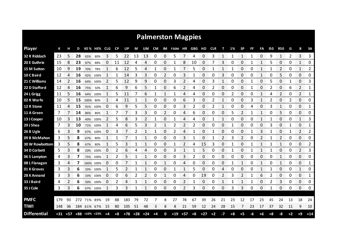|                     |     |    |     |             |                         |            |           |           |     |              |      |              | <b>Palmerston Magpies</b> |       |      |       |            |              |      |           |     |              |      |              |             |                |              |
|---------------------|-----|----|-----|-------------|-------------------------|------------|-----------|-----------|-----|--------------|------|--------------|---------------------------|-------|------|-------|------------|--------------|------|-----------|-----|--------------|------|--------------|-------------|----------------|--------------|
| <b>Player</b>       | К   |    | D   |             | KE% HE%                 | <b>CLG</b> | <b>CP</b> | UP        | М   | UM           | CM   |              | IM F50M HR GBG HO         |       |      |       | <b>CLR</b> |              | 1%   | <b>SP</b> | FF. | FA           | 150  | <b>R50</b>   | G           | в              | <b>SA</b>    |
| 32 R Riddoch        | 23  | 5. | 28  | 65%         | 80%                     | 3          | 5         | 22        | -13 | 13           | 0    | 0            | 5                         |       | Δ    | 0     | 3          | 1            |      | 1         |     | 0            | 9    | $\mathbf{1}$ | 2           | 3              | 3<br>        |
| 20 E Guthrie        | 15  | 8  | 23  | 87%         | 88%                     | 0          | 11        | 12        | 4   | 4            | 0    | 0            | 1                         | 8     | 10   | 0     | 7          | 3            | 0    | 0         | 1   | 1            | 5    | 0            | 0           | 1              | 0            |
| 15 M Sutton         | 10  | q  | 19  | 70%         | 78%                     |            | 6         | 12        | 5   | 4            | 1    | 0            |                           |       | 5    | 0     |            | 1            |      | 0         | 0   | 1            |      | 2            | 0           | 1              | 2            |
| 10 C Baird          | 12  | 4  | 16  | 92%         | 100%                    | 1          | 1         | 14        | 3   | 3            | 0    | 2            | 0                         | 3     | 1    | 0     | 0          | 3            | 0    | 0         | 0   | 1            | 0    | 5            | 0           | 0              | 0            |
| 21 C Williams       | 14  | 2  | 16  |             | 64% 100%                | 2          | 5         | 12        | 9   | 9            | 0    | 0            | 3                         | 2     | 4    | 0     | 3          | 1            | 0    | 0         |     | 0            | 5    | 0            | 1           | 0              | 3            |
| 22 D Stafford       | 12  | 4  | 16  | 75%         | 50%                     | 1          | 6         | 9         | 6   | 5            | 1    | 0            | 6                         | 2     | 4    | 0     | 2          | 0            | 0    | 0         | 1   | 0            | 2    | 0            | 6           | 2              | 1            |
| 24 L Grigg          | 11  | 5  | 16  | 64%         | 100%                    | 1          | 5         | 11        |     | 6            | 1    |              |                           | 4     | 4    | 0     | 0          | 0            | 2    | 0         | 0   | 1            |      | 2            | 0           | 2              | 1            |
| 02 R Warfe          | 10  | 5  | 15  | 100%        | 80%                     | 1          | 4         | 11        | 1   | 1            | 0    | 0            | 0                         | 6     | 3    | 0     | 2          | $\mathbf{1}$ | 0    | 0         | 3   | 1            | 2    | 0            | 2           | 0              | 0            |
| 12 R Stone          | 11  | 4  | 15  |             | 91% 100%                | 0          | 6         | 9         | 5   | 5            | 0    | 0            | 0                         | 3     | 2    | 0     | 2          | $\mathbf{1}$ | 0    | 0         | 4   | 0            | 3    | $\mathbf{1}$ | 0           | 0              | 1            |
| 11 A Green          | 7   | 7  | 14  | 86%         | 86%                     | 1          | 7         | 7         | 3   | 3            | 0    | 2            | 0                         | 4     | 6    | 0     | 0          | 0            | 5    | 2         | 1   | $\mathbf{1}$ | 0    | 5            | 0           | 0              | 0            |
| 13 J Cooper         | 10  |    | 13  |             | 40% 100%                | 2          | 5         | 8         | 3   | 2            | 1    | 0            |                           | 4     | 4    | 0     |            | 1            | 0    | 0         | 0   | 1            |      | 0            | 0           | 1              | 3            |
| 29 J Shea           | 7   | 3  | 10  | 71%         | 100%                    | 1          | 4         | 6         | 5   | 3            | 2    | $\mathbf{1}$ | 2                         | 2     | 2    | 0     | 0          | 0            | -1   | 0         | 0   | 0            | 3    | 0            | 1           | 0              | 1            |
| 26 B Ugle           | 6   | 3  | 9   |             | 67% 100%                | 0          | 3         |           | 2   | 1            | 1    | 0            | 2                         | 4     | 1    | 0     | 1          | 0            | 0    | 0         | 1   | 3            | 1    | 0            | 1           | $\overline{2}$ | 2            |
| 09 B McMahon        | 3   | 5  | 8   | 67%         | 80%                     | 1          | 1         | 7         | 1   | 1            | 0    | 0            | 0                         | 3     | 1    | 0     | 1          | 2            | 3    | 2         | 0   | 2            | 1    | 2            | 0           | 0              | 0            |
| 30 W Rowbottom      | 3   | 5  | 8   | 67%         | 80%                     |            | 5         | 3         |     |              | 0    | 0            |                           | 2     | 4    | 15    | 3          | 0            |      | 0         |     | 1            |      | 1            | 0           | 0              | 2            |
| 34 D Corbett        | 5   | 3  | 8   | 20%         | 100%                    | O          |           | 6         | 4   | 4            | 0    | 0            | 3                         |       |      | 5     | 0          | 0            | 1    | 0         |     |              |      | 0            | 0           | 2<br>mmm       | 3<br>mmm     |
| 06 S Lampton        | 4   | 3  | 7   |             | 75% 100%                | 1          | 2         | 5         |     | 1            | 0    | 0            | 0                         | 3     | 2    | 0     | 0          | 0            | 0    | 0         | 0   | 0            | 0    | 1            | 0           | 0              | 0            |
| 08 L Flanagan       | 3   | 4  | 7   |             | 100% 100%               | 0          | 0         |           |     | 1            | 0    |              | 0                         | 4     | Ω    | 0     | 0          | 0            | 1    |           | 0   | 1            | C    | 1            | 0           | 0              | 1            |
| 01 K Groves         | 3   | 3  | 6   |             | 33% 100%                |            | 5         |           |     |              | 0    | 0            |                           |       | 5    | 0     | 0          | 4            | 0    | 0         | 0   | 1            |      | 0            | 0           | 1              | 0            |
| 28 K Annand         | 3   | 3  | 6   | 33%         | 100%                    | 0          | 0         | 6         | 2   | 2            | 0    |              | 0                         | 4     | 0    | 19    | 0          | 2            | 3    | 2         |     | 6            | 2    | 0<br>nana a  | 0<br>nnnnnn | 0<br>mmmm      | 1<br>mmmm    |
| 33 J Baird          | 4   | 2  | 6   |             | 50% 100%                | O          | 2         | 4         |     |              | 0    | 0            | 0                         | 2     |      | 0     | 0          |              |      |           |     | 0            | 2    | 3            | 0           | 0              | 0<br>waa mar |
| 35 J Cole           | 3   | 3  | 6   |             | 67% 100%                | 1          | 3         | 3         |     | $\mathbf{1}$ | 0    | 0            | 0                         | 2     | 3    | 0     | 0          | 0            | 3    | 3         | 0   | 0            |      | 0            | 0           | 0              | 0            |
|                     |     |    |     |             |                         |            |           |           |     |              |      |              |                           |       |      |       |            |              |      |           |     |              |      |              |             |                |              |
| <b>PMFC</b>         | 179 | 93 | 272 | 71%         | 89%                     | 19         | 88        | 183       | 79  | 72           |      | 8            | 27                        | 78    | 67   | 39    | 26         | 21           | 23   | 12        | 17  | 23           | 45   | 24           | 13          | 18             | 24           |
| <b>TIWI</b>         | 148 | 36 |     | 184 61% 67% |                         | 15         | 80        | 105       | 51  | 48           | 3    | 8            | 8                         | 21    | 59   | 12    | 24         | 28           | 15   | 7         | 23  | 17           | 37   | 32           | 11          | 9              | 10           |
| <b>Differential</b> |     |    |     |             | $+31$ +57 +88 +10% +23% | $+4$       | $+8$      | $+78$ +28 |     | $+24$        | $+4$ | 0            | $+19$                     | $+57$ | $+8$ | $+27$ | $+2$       | $-7$         | $+8$ | $+5$      | -6  | $+6$         | $+8$ | -8           | $+2$        | $+9$           | $+14$        |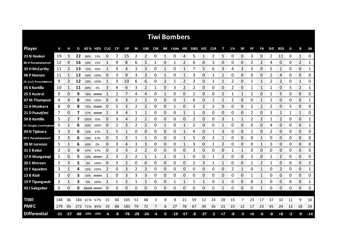|                           |       |     |     |             |             |    |           |               |                |                          |      |             | <b>Tiwi Bombers</b> |             |     |                |            |      |    |              |                |                |     |                |    |                |               |
|---------------------------|-------|-----|-----|-------------|-------------|----|-----------|---------------|----------------|--------------------------|------|-------------|---------------------|-------------|-----|----------------|------------|------|----|--------------|----------------|----------------|-----|----------------|----|----------------|---------------|
| <b>Player</b>             | К     |     | D   |             | KE% HE% CLG |    | <b>CP</b> | UP            | М              | UM                       | CM   |             | IM F50M HR          |             | GBG | HO             | <b>CLR</b> | т    | 1% | <b>SP</b>    | FF             | FA             | 150 | <b>R50</b>     | G  | в              | <b>SA</b>     |
| 23 N Hooker               | 19    | 3   | 22  | 84%         | 33%         | 0  | 7         | 15            | 2              | 2                        | 0    | 1           | 0                   | 4           | 5   | 1              | 2          | 5    | 0  | 0            | 3              | 0              | 2   | 11             | 0  | $\mathbf{1}$   | 0             |
| <b>48 H Puruntatameri</b> | 12    | 4   | 16  | 50%         | 25%         | 1  | 9         | 8             | 6              | 5                        | 1    | 0           | 1                   | 2           | 6   | 0              | 3          | 0    | 0  | 0            | 2              | 2              | 4   | 0              | 0  | 2              | 1             |
| 32 H McCarthy             | 11    | 2   | 13  | 73%         | 50%         | 1  | 9         | 4             | 3              | 3                        | 0    | 1           | 0                   | 1           | 7   | 5              | 6          | 3    | 4  | 3            | 3              | 0              | 5   | 1              | 0  | 0              | 1             |
| 06 P Heenan               | 11    | 1   | 12  | 64%         | 100%        | 0  | 3         | 9             | 3              | 3                        | 0    | 1           | 0                   | 1           | 3   | 0              | 1          | 1    | 0  | 0            | 0              | 0              | 2   | 4              | 0  | 0              | 0             |
| 26 Cecil Puruntatameri    | 9     | 3   | 12  |             | 33% 100%    | 1  | 3         | 10            | 6              | 6                        | 0    | 2           | 1                   | 2           | 2   | 0              | 1          | 1    | 2  | 0            | 1              | $\mathbf{1}$   | 2   | 2              | 0  | $\mathbf{1}$   | 0             |
| 05 K Kantilla             | 10    | 1   | 11  | 60%         | 0%          | 3  | 4         | 6             | 3              | $\overline{2}$           | 1    | 0           | 3                   | 2           | 2   | 0              | 0          | 0    | 2  | 0            | 1              | $\mathbf{1}$   | 1   | 0              | 5  | $\overline{2}$ | 1             |
| 25 S Austral              | 9     | 0   | 9   | 78%         | #####       |    | 2         |               | 4              | 4                        | 0    | 1           | 0                   | 0           | 1   | 0              | 0          | 2    |    | 1            | 2              | 0              |     | 5              | 0  | $\Omega$       | 0             |
| 07 M Thompson             | 4     | 4   | 8   | 75%         | 100%        | 0  | 6         | 3             | 2              | 2                        | 0    | 0           | 0                   | 1           | 6   | 0              | 2          | 1    | 2  | 0            | 0              | $\mathbf{1}$   | 1   | 0              | 0  | 0              | 1             |
| 11 A Munkara              | 8     | 0   | 8   |             | 75% #####   | 0  | 5         | 3             | $\overline{2}$ | $\overline{\phantom{a}}$ | 0    | $\mathbf 0$ | 1                   | 0           | 3   | $\overline{2}$ | 2          | 0    | 0  | 0            | 2              | $\overline{2}$ | 2   | 0              | 5  | $\Omega$       | 0             |
| 21 D Puautjimi            | 7     | 0   | 7   | 57%         | #####       | 1  | 3         | 4             | 1              | $\mathbf{1}$             | 0    | 0           | 0                   | 1           | 1   | 0              | 0          | 0    | 0  | 0            | $\overline{2}$ | $\Omega$       | 3   | 1              | 1  | $\mathbf{1}$   | 0             |
| 50 B Kantilla             | 5     | 2   | 7   | 100%        | 50%         | 0  | 3         | 4             | 2              | 2                        | 0    | 0           | 0                   | 0           | 2   | 0              | 0          | 3    |    | $\mathbf{1}$ | 2              | $\overline{2}$ |     | $\overline{2}$ | 0  | 0              | 1             |
| 03 Douglas Cunningham     | 5     |     | 6   | 60%         | 100%        | 0  | 2         | 3             | 2              | 2                        | 0    | 1           | 0                   | 1           | 2   | 0              | 0          | 1    | 0  | 0            | 0              | 0              | 4   | 0              | 0  | 0              | 1             |
| 04 N Tiploura             | 3     | 3   | 6   | 33%         | 67%         |    | 5         |               | 0              | 0                        | 0    | 0           | 0                   |             | 4   | 0              |            | 3    | 0  | 0            | 1              | 0              | 2   | 0              | 0  | 0              | 0             |
| 09 E Puruntatameri        | 3     | 3   | 6   | 33%         | 67%         | 0  | 5         | 2             | 1              | 1                        | 0    | 0           | 0                   |             | 5   | 0              | 2          | 1    | 0  | 0            | 0              | 1              | 0   | 0              | 0  | 0              | 0             |
| 28 M Lorenzo              | 5     |     | 6   | 60%         | 0%          | 0  | 3         | 4             | 3              | 3                        | 0    | 0           | 0                   |             | 3   | 0              |            | 2    | O  | 0            | O              |                | 3   | 0              | 0  | 0<br>an mara   | 0             |
| 31 S Babui                | 3     | 3   | 6   | 67%         | 67%         | 0  | 3         | 3             | 2              | 2                        | 0    | 0           | 0                   | 0           | 3   | 0              | 0          | 0    |    | 1            | O              | 0              | 0   | 0              | 0  | 0              | 0<br>ononono. |
| 17 R Mungatopi            | 5     | 0   | 5   |             | 20% #####   | 2  | 3         | 2             | 2              | 1                        | 1    | 1           | 0                   | 1           | 0   | 0              |            | 2    | 0  | 0            | 2              | 0              |     | 2              | 0  | 0              | 0             |
| 20 C Moreen               | 2     | 3   | 5   | 0%          | 100%        | 0  | 3         | $\mathcal{P}$ | 0              | 0                        | 0    | 0           | 0                   | 0           | 2   | 3              |            |      | 0  | 0            |                | 2              |     | 0              | 0  | 0              | 2             |
| 15 F Apuatimi             | 3     |     | 4   | 33%         | 100%        | 2  | 0         | 3             | 2              | 2                        | 0    | $\mathbf 0$ | 0                   | $\mathbf 0$ | 0   | 0              | 0          | 0    | 2  | 1            | 0              | 1              | 0   | $\overline{2}$ | 0  | 0              | 1             |
| 13 B Rioli                | 3     | 0   | 3   |             | 33% #####   |    | 0         | 3             | 3              | 3                        | 0    | 0           | 0                   | 0           | 0   | 0              | 0          | 0    | 0  | 0            | 1              | 1              | 0   | 0              | 0  | 0              | 0             |
| 19 P Tipungwuti           | 2     | 1   | 3   | 0%          | 100%        | 1  | 1         | 2             | 1              | 1                        | 0    | 0           | 1                   | 1           | 1   | 1              | 0          | 1    | 0  | 0            | 0              | 1              | 0   | 0              | 0  | 0              | 1             |
| 43 J Salzgeber            | 0     | 0   | 0   |             | ##### ##### | 0  | 0         | 0             | 0              | 0                        | 0    | 0           | 0                   | 0           | 0   | 0              | 0          | 1    | 0  | 0            | 0              | 1              | 0   | 0              | 0  | 0              | 0             |
|                           |       |     |     |             |             |    |           |               |                |                          |      |             |                     |             |     |                |            |      |    |              |                |                |     |                |    |                |               |
| <b>TIWI</b>               | 148   | 36  | 184 | 61%         | 67%         | 15 | 80        | 105           | 51             | 48                       | 3    | 8           | 8                   | 21          | 59  | 12             | 24         | 28   | 15 | 7            | 23             | 17             | 37  | 32             | 11 | 9              | 10            |
| <b>PMFC</b>               | 179   | 93  |     | 272 71% 89% |             | 19 | 88        | 183           | 79             | 72                       | 7    | 8           | 27                  | 78          | 67  | 39             | 26         | 21   | 23 | 12           | 17             | 23             | 45  | 24             | 13 | 18             | 24            |
| <b>Differential</b>       | $-31$ | -57 |     | $-88 - 10%$ | -23%        | -4 | -8        | $-78$         | $-28$          | $-24$                    | $-4$ | 0           | $-19$               | $-57$       | -8  | $-27$          | $-2$       | $+7$ | -8 | -5           | $+6$           | -6             | -8  | $+8$           | -2 | -9             | $-14$         |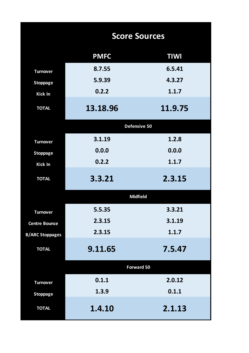|                        | <b>Score Sources</b> |             |
|------------------------|----------------------|-------------|
|                        | <b>PMFC</b>          | <b>TIWI</b> |
| <b>Turnover</b>        | 8.7.55               | 6.5.41      |
| <b>Stoppage</b>        | 5.9.39               | 4.3.27      |
| Kick In                | 0.2.2                | 1.1.7       |
| <b>TOTAL</b>           | 13.18.96             | 11.9.75     |
|                        | Defensive 50         |             |
| <b>Turnover</b>        | 3.1.19               | 1.2.8       |
| <b>Stoppage</b>        | 0.0.0                | 0.0.0       |
| Kick In                | 0.2.2                | 1.1.7       |
| <b>TOTAL</b>           | 3.3.21               | 2.3.15      |
|                        | <b>Midfield</b>      |             |
| <b>Turnover</b>        | 5.5.35               | 3.3.21      |
| <b>Centre Bounce</b>   | 2.3.15               | 3.1.19      |
| <b>B/ARC Stoppages</b> | 2.3.15               | 1.1.7       |
| <b>TOTAL</b>           | 9.11.65              | 7.5.47      |
|                        | <b>Forward 50</b>    |             |
| <b>Turnover</b>        | 0.1.1                | 2.0.12      |
| <b>Stoppage</b>        | 1.3.9                | 0.1.1       |
| <b>TOTAL</b>           | 1.4.10               | 2.1.13      |